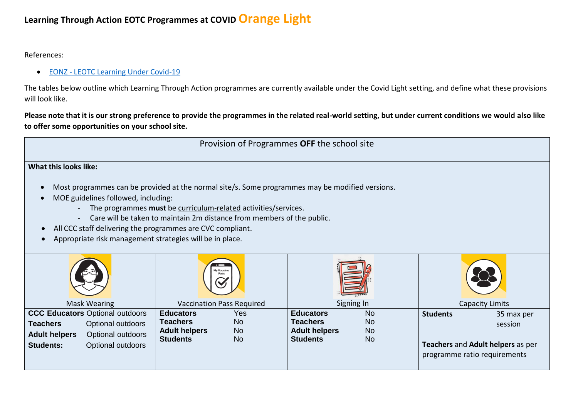## **Learning Through Action EOTC Programmes at COVID Orange Light**

References:

**• EONZ - [LEOTC Learning Under Covid-19](https://www.eonz.org.nz/eotc-learning-through-covid-19/)** 

The tables below outline which Learning Through Action programmes are currently available under the Covid Light setting, and define what these provisions will look like.

**Please note that it is our strong preference to provide the programmes in the related real-world setting, but under current conditions we would also like to offer some opportunities on your school site.**



## **What this looks like:**

- Most programmes can be provided at the normal site/s. Some programmes may be modified versions.
- MOE guidelines followed, including:
	- The programmes **must** be curriculum-related activities/services.
	- Care will be taken to maintain 2m distance from members of the public.
- All CCC staff delivering the programmes are CVC compliant.
- Appropriate risk management strategies will be in place.

| é3                                                                                                                                                            | $\overline{\phantom{a}}$<br>My Vaccine<br>Pass                                                                               |                                                                                                                                    |                                                                                                               |
|---------------------------------------------------------------------------------------------------------------------------------------------------------------|------------------------------------------------------------------------------------------------------------------------------|------------------------------------------------------------------------------------------------------------------------------------|---------------------------------------------------------------------------------------------------------------|
| Mask Wearing                                                                                                                                                  | <b>Vaccination Pass Required</b>                                                                                             | Signing In                                                                                                                         | Capacity Limits                                                                                               |
| CCC Educators Optional outdoors<br>Optional outdoors<br><b>Teachers</b><br>Optional outdoors<br><b>Adult helpers</b><br>Optional outdoors<br><b>Students:</b> | <b>Educators</b><br>Yes<br><b>Teachers</b><br><b>No</b><br><b>No</b><br><b>Adult helpers</b><br><b>Students</b><br><b>No</b> | <b>Educators</b><br><b>No</b><br><b>Teachers</b><br><b>No</b><br><b>Adult helpers</b><br><b>No</b><br><b>Students</b><br><b>No</b> | <b>Students</b><br>35 max per<br>session<br>Teachers and Adult helpers as per<br>programme ratio requirements |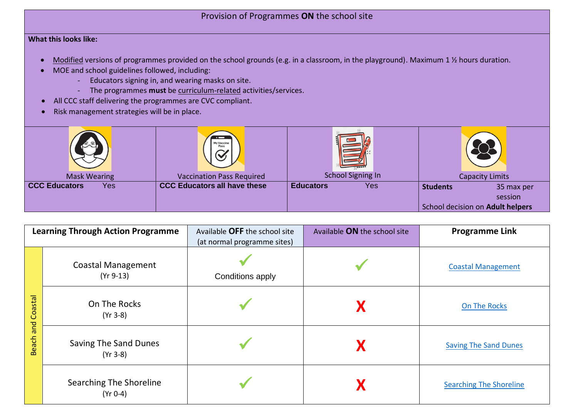## Provision of Programmes **ON** the school site

## **What this looks like:**

- Modified versions of programmes provided on the school grounds (e.g. in a classroom, in the playground). Maximum 1 ½ hours duration.
- MOE and school guidelines followed, including:
	- Educators signing in, and wearing masks on site.
	- The programmes **must** be curriculum-related activities/services.
- All CCC staff delivering the programmes are CVC compliant.
- Risk management strategies will be in place.

| 도교                          | $\overline{\phantom{0}}$<br>My Vaccine |                          |                                  |
|-----------------------------|----------------------------------------|--------------------------|----------------------------------|
| <b>Mask Wearing</b>         | <b>Vaccination Pass Required</b>       | <b>School Signing In</b> | <b>Capacity Limits</b>           |
| <b>CCC Educators</b><br>Yes | <b>CCC Educators all have these</b>    | <b>Educators</b><br>Yes  | <b>Students</b><br>35 max per    |
|                             |                                        |                          | session                          |
|                             |                                        |                          | School decision on Adult helpers |

|                                | <b>Learning Through Action Programme</b>   | Available OFF the school site                   | Available ON the school site | <b>Programme Link</b>          |
|--------------------------------|--------------------------------------------|-------------------------------------------------|------------------------------|--------------------------------|
| Coastal<br>and<br><b>Beach</b> | <b>Coastal Management</b><br>$(Yr 9-13)$   | (at normal programme sites)<br>Conditions apply |                              | <b>Coastal Management</b>      |
|                                | On The Rocks<br>$(Yr 3-8)$                 |                                                 |                              | On The Rocks                   |
|                                | <b>Saving The Sand Dunes</b><br>$(Yr 3-8)$ |                                                 |                              | <b>Saving The Sand Dunes</b>   |
|                                | Searching The Shoreline<br>$(Yr 0-4)$      |                                                 |                              | <b>Searching The Shoreline</b> |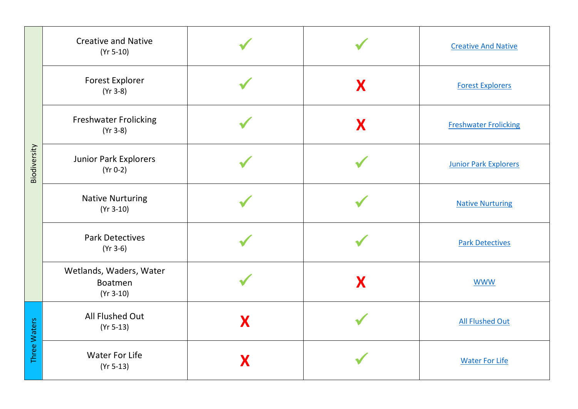| Biodiversity | <b>Creative and Native</b><br>$(Yr 5-10)$         |   |   | <b>Creative And Native</b>   |
|--------------|---------------------------------------------------|---|---|------------------------------|
|              | <b>Forest Explorer</b><br>$(Yr 3-8)$              |   | X | <b>Forest Explorers</b>      |
|              | <b>Freshwater Frolicking</b><br>$(Yr 3-8)$        |   | X | <b>Freshwater Frolicking</b> |
|              | Junior Park Explorers<br>$(Yr 0-2)$               |   |   | <b>Junior Park Explorers</b> |
|              | <b>Native Nurturing</b><br>$(Yr 3-10)$            |   |   | <b>Native Nurturing</b>      |
|              | <b>Park Detectives</b><br>$(Yr 3-6)$              |   |   | <b>Park Detectives</b>       |
|              | Wetlands, Waders, Water<br>Boatmen<br>$(Yr 3-10)$ |   | X | <b>WWW</b>                   |
| Three Waters | All Flushed Out<br>$(Yr 5-13)$                    | X |   | <b>All Flushed Out</b>       |
|              | <b>Water For Life</b><br>$(Yr 5-13)$              |   |   | <b>Water For Life</b>        |